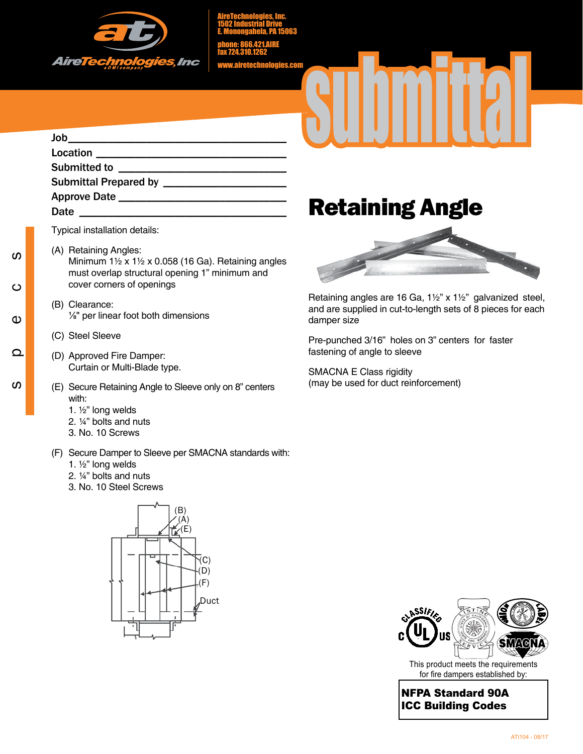

AireTechnologies, Inc. 1502 Industrial Drive E. Monongahela, PA 15063

phone: 866.421.AIRE fax 724.310.1262

www.airetechnologies.com

## Job\_\_\_\_\_\_\_\_\_\_\_\_\_\_\_\_\_\_\_\_\_\_\_\_\_\_\_\_\_\_\_\_\_\_\_\_\_\_\_ Location \_\_\_\_\_\_\_\_\_\_\_\_\_\_\_\_\_\_\_\_\_\_\_\_\_\_\_\_\_\_\_\_\_\_ Submitted to \_\_\_\_\_\_\_\_\_\_\_\_\_\_\_\_\_\_\_\_\_\_\_\_\_\_\_\_\_\_ Submittal Prepared by **with all assets** Approve Date \_\_\_\_\_\_\_\_\_\_\_\_\_\_\_\_\_\_\_\_\_\_\_\_\_\_\_\_\_\_ Date \_\_\_\_\_\_\_\_\_\_\_\_\_\_\_\_\_\_\_\_\_\_\_\_\_\_\_\_\_\_\_\_\_\_\_\_\_ Retaining Angle

Typical installation details:

- (A) Retaining Angles: Minimum 1½ x 1½ x 0.058 (16 Ga). Retaining angles must overlap structural opening 1" minimum and cover corners of openings
- (B) Clearance: ⅛" per linear foot both dimensions
- (C) Steel Sleeve
- (D) Approved Fire Damper: Curtain or Multi-Blade type.
- (E) Secure Retaining Angle to Sleeve only on 8" centers with:
	- 1. ½" long welds
	- 2. ¼" bolts and nuts
	- 3. No. 10 Screws
- (F) Secure Damper to Sleeve per SMACNA standards with:
	- 1. ½" long welds
	- 2. ¼" bolts and nuts
	- 3. No. 10 Steel Screws





Retaining angles are 16 Ga, 1½" x 1½" galvanized steel, and are supplied in cut-to-length sets of 8 pieces for each damper size

Pre-punched 3/16" holes on 3" centers for faster fastening of angle to sleeve

SMACNA E Class rigidity (may be used for duct reinforcement)



This product meets the requirements for fire dampers established by:

NFPA Standard 90A ICC Building Codes

ທ